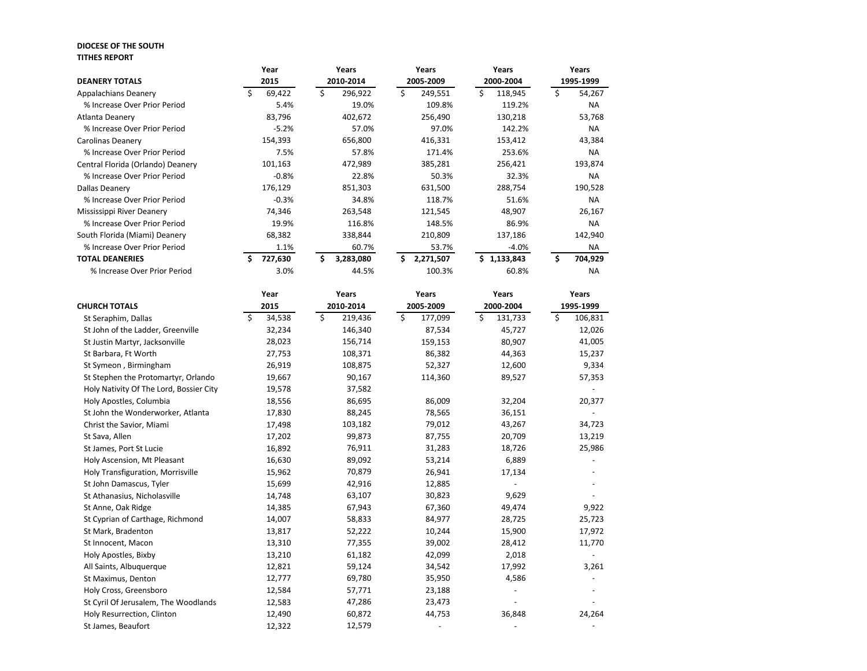## **DIOCESE OF THE SOUTH TITHES REPORT**

|                                   | Year    | Years           | Years           | Years        | Years     |
|-----------------------------------|---------|-----------------|-----------------|--------------|-----------|
| <b>DEANERY TOTALS</b>             | 2015    | 2010-2014       | 2005-2009       | 2000-2004    | 1995-1999 |
| <b>Appalachians Deanery</b>       | 69,422  | 296,922<br>S    | 249,551         | 118,945<br>ς | 54,267    |
| % Increase Over Prior Period      | 5.4%    | 19.0%           | 109.8%          | 119.2%       | <b>NA</b> |
| Atlanta Deanery                   | 83,796  | 402,672         | 256,490         | 130,218      | 53,768    |
| % Increase Over Prior Period      | $-5.2%$ | 57.0%           | 97.0%           | 142.2%       | <b>NA</b> |
| Carolinas Deanery                 | 154,393 | 656,800         | 416,331         | 153,412      | 43,384    |
| % Increase Over Prior Period      | 7.5%    | 57.8%           | 171.4%          | 253.6%       | <b>NA</b> |
| Central Florida (Orlando) Deanery | 101,163 | 472,989         | 385,281         | 256,421      | 193,874   |
| % Increase Over Prior Period      | $-0.8%$ | 22.8%           | 50.3%           | 32.3%        | <b>NA</b> |
| Dallas Deanery                    | 176,129 | 851,303         | 631,500         | 288,754      | 190,528   |
| % Increase Over Prior Period      | $-0.3%$ | 34.8%           | 118.7%          | 51.6%        | <b>NA</b> |
| Mississippi River Deanery         | 74,346  | 263,548         | 121,545         | 48,907       | 26,167    |
| % Increase Over Prior Period      | 19.9%   | 116.8%          | 148.5%          | 86.9%        | <b>NA</b> |
| South Florida (Miami) Deanery     | 68,382  | 338,844         | 210,809         | 137,186      | 142,940   |
| % Increase Over Prior Period      | 1.1%    | 60.7%           | 53.7%           | $-4.0\%$     | <b>NA</b> |
| <b>TOTAL DEANERIES</b>            | 727,630 | Ŝ.<br>3,283,080 | Ś.<br>2,271,507 | \$1,133,843  | 704,929   |
| % Increase Over Prior Period      | 3.0%    | 44.5%           | 100.3%          | 60.8%        | <b>NA</b> |

|                                         |      | Year   |           | Years   |           | Years   |           | Years   |    | Years     |  |
|-----------------------------------------|------|--------|-----------|---------|-----------|---------|-----------|---------|----|-----------|--|
| <b>CHURCH TOTALS</b>                    | 2015 |        | 2010-2014 |         | 2005-2009 |         | 2000-2004 |         |    | 1995-1999 |  |
| St Seraphim, Dallas                     | \$   | 34,538 | \$        | 219,436 | \$        | 177,099 | \$        | 131,733 | \$ | 106,831   |  |
| St John of the Ladder, Greenville       |      | 32,234 |           | 146,340 |           | 87,534  |           | 45,727  |    | 12,026    |  |
| St Justin Martyr, Jacksonville          |      | 28,023 |           | 156,714 |           | 159,153 |           | 80,907  |    | 41,005    |  |
| St Barbara, Ft Worth                    |      | 27,753 |           | 108,371 |           | 86,382  |           | 44,363  |    | 15,237    |  |
| St Symeon, Birmingham                   |      | 26,919 |           | 108,875 |           | 52,327  |           | 12,600  |    | 9,334     |  |
| St Stephen the Protomartyr, Orlando     |      | 19,667 |           | 90,167  |           | 114,360 |           | 89,527  |    | 57,353    |  |
| Holy Nativity Of The Lord, Bossier City |      | 19,578 |           | 37,582  |           |         |           |         |    |           |  |
| Holy Apostles, Columbia                 |      | 18,556 |           | 86,695  |           | 86,009  |           | 32,204  |    | 20,377    |  |
| St John the Wonderworker, Atlanta       |      | 17,830 |           | 88,245  |           | 78,565  |           | 36,151  |    |           |  |
| Christ the Savior, Miami                |      | 17,498 |           | 103,182 |           | 79,012  |           | 43,267  |    | 34,723    |  |
| St Sava, Allen                          |      | 17,202 |           | 99,873  |           | 87,755  |           | 20,709  |    | 13,219    |  |
| St James, Port St Lucie                 |      | 16,892 |           | 76,911  |           | 31,283  |           | 18,726  |    | 25,986    |  |
| Holy Ascension, Mt Pleasant             |      | 16,630 |           | 89,092  |           | 53,214  |           | 6,889   |    |           |  |
| Holy Transfiguration, Morrisville       |      | 15,962 |           | 70,879  |           | 26,941  |           | 17,134  |    |           |  |
| St John Damascus, Tyler                 |      | 15,699 |           | 42,916  |           | 12,885  |           |         |    |           |  |
| St Athanasius, Nicholasville            |      | 14,748 |           | 63,107  |           | 30,823  |           | 9,629   |    |           |  |
| St Anne, Oak Ridge                      |      | 14,385 |           | 67,943  |           | 67,360  |           | 49,474  |    | 9,922     |  |
| St Cyprian of Carthage, Richmond        |      | 14,007 |           | 58,833  |           | 84,977  |           | 28,725  |    | 25,723    |  |
| St Mark, Bradenton                      |      | 13,817 |           | 52,222  |           | 10,244  |           | 15,900  |    | 17,972    |  |
| St Innocent, Macon                      |      | 13,310 |           | 77,355  |           | 39,002  |           | 28,412  |    | 11,770    |  |
| Holy Apostles, Bixby                    |      | 13,210 |           | 61,182  |           | 42,099  |           | 2,018   |    |           |  |
| All Saints, Albuquerque                 |      | 12,821 |           | 59,124  |           | 34,542  |           | 17,992  |    | 3,261     |  |
| St Maximus, Denton                      |      | 12,777 |           | 69,780  |           | 35,950  |           | 4,586   |    |           |  |
| Holy Cross, Greensboro                  |      | 12,584 |           | 57,771  |           | 23,188  |           |         |    |           |  |
| St Cyril Of Jerusalem, The Woodlands    |      | 12,583 |           | 47,286  |           | 23,473  |           |         |    |           |  |
| Holy Resurrection, Clinton              |      | 12,490 |           | 60,872  |           | 44,753  |           | 36,848  |    | 24,264    |  |
| St James, Beaufort                      |      | 12,322 |           | 12,579  |           |         |           |         |    |           |  |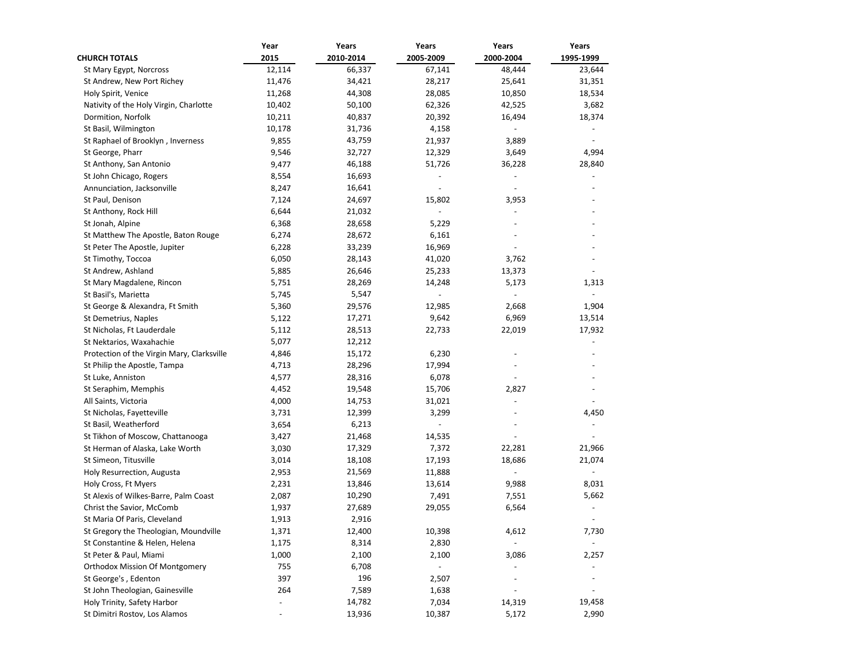|                                            | Year                     | Years     | Years                    | Years                    | Years     |
|--------------------------------------------|--------------------------|-----------|--------------------------|--------------------------|-----------|
| <b>CHURCH TOTALS</b>                       | 2015                     | 2010-2014 | 2005-2009                | 2000-2004                | 1995-1999 |
| St Mary Egypt, Norcross                    | 12,114                   | 66,337    | 67,141                   | 48,444                   | 23,644    |
| St Andrew, New Port Richey                 | 11,476                   | 34,421    | 28,217                   | 25,641                   | 31,351    |
| Holy Spirit, Venice                        | 11,268                   | 44,308    | 28,085                   | 10,850                   | 18,534    |
| Nativity of the Holy Virgin, Charlotte     | 10,402                   | 50,100    | 62,326                   | 42,525                   | 3,682     |
| Dormition, Norfolk                         | 10,211                   | 40,837    | 20,392                   | 16,494                   | 18,374    |
| St Basil, Wilmington                       | 10,178                   | 31,736    | 4,158                    |                          |           |
| St Raphael of Brooklyn, Inverness          | 9,855                    | 43,759    | 21,937                   | 3,889                    |           |
| St George, Pharr                           | 9,546                    | 32,727    | 12,329                   | 3,649                    | 4,994     |
| St Anthony, San Antonio                    | 9,477                    | 46,188    | 51,726                   | 36,228                   | 28,840    |
| St John Chicago, Rogers                    | 8,554                    | 16,693    |                          |                          | ÷,        |
| Annunciation, Jacksonville                 | 8,247                    | 16,641    |                          |                          |           |
| St Paul, Denison                           | 7,124                    | 24,697    | 15,802                   | 3,953                    |           |
| St Anthony, Rock Hill                      | 6,644                    | 21,032    | $\overline{\phantom{a}}$ |                          |           |
| St Jonah, Alpine                           | 6,368                    | 28,658    | 5,229                    |                          |           |
| St Matthew The Apostle, Baton Rouge        | 6,274                    | 28,672    | 6,161                    |                          |           |
| St Peter The Apostle, Jupiter              | 6,228                    | 33,239    | 16,969                   |                          |           |
| St Timothy, Toccoa                         | 6,050                    | 28,143    | 41,020                   | 3,762                    |           |
| St Andrew, Ashland                         | 5,885                    | 26,646    | 25,233                   | 13,373                   |           |
| St Mary Magdalene, Rincon                  | 5,751                    | 28,269    | 14,248                   | 5,173                    | 1,313     |
| St Basil's, Marietta                       | 5,745                    | 5,547     |                          |                          |           |
| St George & Alexandra, Ft Smith            | 5,360                    | 29,576    | 12,985                   | 2,668                    | 1,904     |
| St Demetrius, Naples                       | 5,122                    | 17,271    | 9,642                    | 6,969                    | 13,514    |
| St Nicholas, Ft Lauderdale                 | 5,112                    | 28,513    | 22,733                   | 22,019                   | 17,932    |
| St Nektarios, Waxahachie                   | 5,077                    | 12,212    |                          |                          |           |
| Protection of the Virgin Mary, Clarksville | 4,846                    | 15,172    | 6,230                    |                          |           |
| St Philip the Apostle, Tampa               | 4,713                    | 28,296    | 17,994                   |                          |           |
| St Luke, Anniston                          | 4,577                    | 28,316    | 6,078                    |                          |           |
| St Seraphim, Memphis                       | 4,452                    | 19,548    | 15,706                   | 2,827                    |           |
| All Saints, Victoria                       | 4,000                    | 14,753    | 31,021                   | $\overline{a}$           |           |
| St Nicholas, Fayetteville                  | 3,731                    | 12,399    | 3,299                    |                          | 4,450     |
| St Basil, Weatherford                      | 3,654                    | 6,213     |                          |                          |           |
| St Tikhon of Moscow, Chattanooga           | 3,427                    | 21,468    | 14,535                   |                          |           |
| St Herman of Alaska, Lake Worth            | 3,030                    | 17,329    | 7,372                    | 22,281                   | 21,966    |
| St Simeon, Titusville                      | 3,014                    | 18,108    | 17,193                   | 18,686                   | 21,074    |
| Holy Resurrection, Augusta                 | 2,953                    | 21,569    | 11,888                   |                          |           |
| Holy Cross, Ft Myers                       | 2,231                    | 13,846    | 13,614                   | 9,988                    | 8,031     |
| St Alexis of Wilkes-Barre, Palm Coast      | 2,087                    | 10,290    | 7,491                    | 7,551                    | 5,662     |
| Christ the Savior, McComb                  | 1,937                    | 27,689    | 29,055                   | 6,564                    |           |
| St Maria Of Paris, Cleveland               | 1,913                    | 2,916     |                          |                          |           |
| St Gregory the Theologian, Moundville      | 1,371                    | 12,400    | 10,398                   | 4,612                    | 7,730     |
| St Constantine & Helen, Helena             | 1,175                    | 8,314     | 2,830                    | $\overline{\phantom{a}}$ |           |
| St Peter & Paul, Miami                     | 1,000                    | 2,100     | 2,100                    | 3,086                    | 2,257     |
| <b>Orthodox Mission Of Montgomery</b>      | 755                      | 6,708     | $\overline{\phantom{a}}$ |                          |           |
| St George's, Edenton                       | 397                      | 196       | 2,507                    |                          |           |
| St John Theologian, Gainesville            | 264                      | 7,589     | 1,638                    |                          |           |
| Holy Trinity, Safety Harbor                |                          | 14,782    | 7,034                    | 14,319                   | 19,458    |
| St Dimitri Rostov, Los Alamos              | $\overline{\phantom{a}}$ | 13,936    | 10,387                   | 5,172                    | 2,990     |